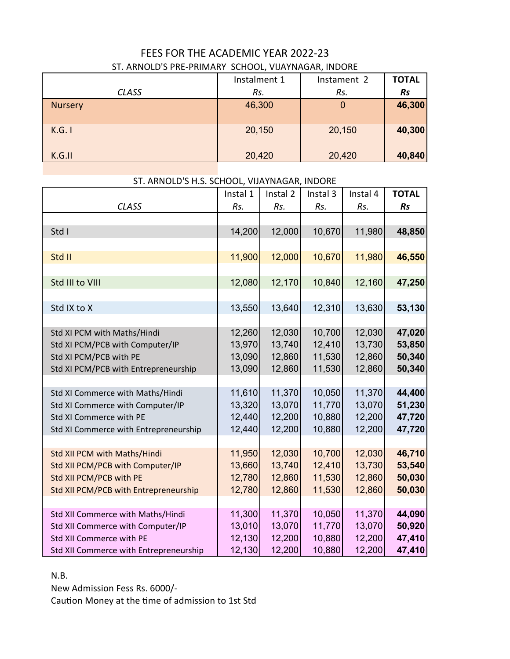## FEES FOR THE ACADEMIC YEAR 2022-23 ST. ARNOLD'S PRE-PRIMARY SCHOOL, VIJAYNAGAR, INDORE

|              | Instalment 1 | Instament 2 | <b>TOTAL</b> |
|--------------|--------------|-------------|--------------|
| <b>CLASS</b> | Rs.          | Rs.         | <b>Rs</b>    |
| Nursery      | 46,300       | O           | 46,300       |
| K.G. I       | 20,150       | 20,150      | 40,300       |
| K.G.II       | 20,420       | 20,420      | 40,840       |

## ST. ARNOLD'S H.S. SCHOOL, VIJAYNAGAR, INDORE

|                                        | Instal 1 | Instal 2 | Instal 3 | Instal 4 | <b>TOTAL</b> |
|----------------------------------------|----------|----------|----------|----------|--------------|
| <b>CLASS</b>                           | Rs.      | Rs.      | Rs.      | Rs.      | <b>Rs</b>    |
|                                        |          |          |          |          |              |
| Std I                                  | 14,200   | 12,000   | 10,670   | 11,980   | 48,850       |
|                                        |          |          |          |          |              |
| Std II                                 | 11,900   | 12,000   | 10,670   | 11,980   | 46,550       |
|                                        |          |          |          |          |              |
| Std III to VIII                        | 12,080   | 12,170   | 10,840   | 12,160   | 47,250       |
|                                        |          |          |          |          |              |
| Std IX to X                            | 13,550   | 13,640   | 12,310   | 13,630   | 53,130       |
|                                        |          |          |          |          |              |
| Std XI PCM with Maths/Hindi            | 12,260   | 12,030   | 10,700   | 12,030   | 47,020       |
| Std XI PCM/PCB with Computer/IP        | 13,970   | 13,740   | 12,410   | 13,730   | 53,850       |
| Std XI PCM/PCB with PE                 | 13,090   | 12,860   | 11,530   | 12,860   | 50,340       |
| Std XI PCM/PCB with Entrepreneurship   | 13,090   | 12,860   | 11,530   | 12,860   | 50,340       |
|                                        |          |          |          |          |              |
| Std XI Commerce with Maths/Hindi       | 11,610   | 11,370   | 10,050   | 11,370   | 44,400       |
| Std XI Commerce with Computer/IP       | 13,320   | 13,070   | 11,770   | 13,070   | 51,230       |
| Std XI Commerce with PE                | 12,440   | 12,200   | 10,880   | 12,200   | 47,720       |
| Std XI Commerce with Entrepreneurship  | 12,440   | 12,200   | 10,880   | 12,200   | 47,720       |
|                                        |          |          |          |          |              |
| Std XII PCM with Maths/Hindi           | 11,950   | 12,030   | 10,700   | 12,030   | 46,710       |
| Std XII PCM/PCB with Computer/IP       | 13,660   | 13,740   | 12,410   | 13,730   | 53,540       |
| Std XII PCM/PCB with PE                | 12,780   | 12,860   | 11,530   | 12,860   | 50,030       |
| Std XII PCM/PCB with Entrepreneurship  | 12,780   | 12,860   | 11,530   | 12,860   | 50,030       |
|                                        |          |          |          |          |              |
| Std XII Commerce with Maths/Hindi      | 11,300   | 11,370   | 10,050   | 11,370   | 44,090       |
| Std XII Commerce with Computer/IP      | 13,010   | 13,070   | 11,770   | 13,070   | 50,920       |
| Std XII Commerce with PE               | 12,130   | 12,200   | 10,880   | 12,200   | 47,410       |
| Std XII Commerce with Entrepreneurship | 12,130   | 12,200   | 10,880   | 12,200   | 47,410       |

## N.B.

New Admission Fess Rs. 6000/- Caution Money at the time of admission to 1st Std